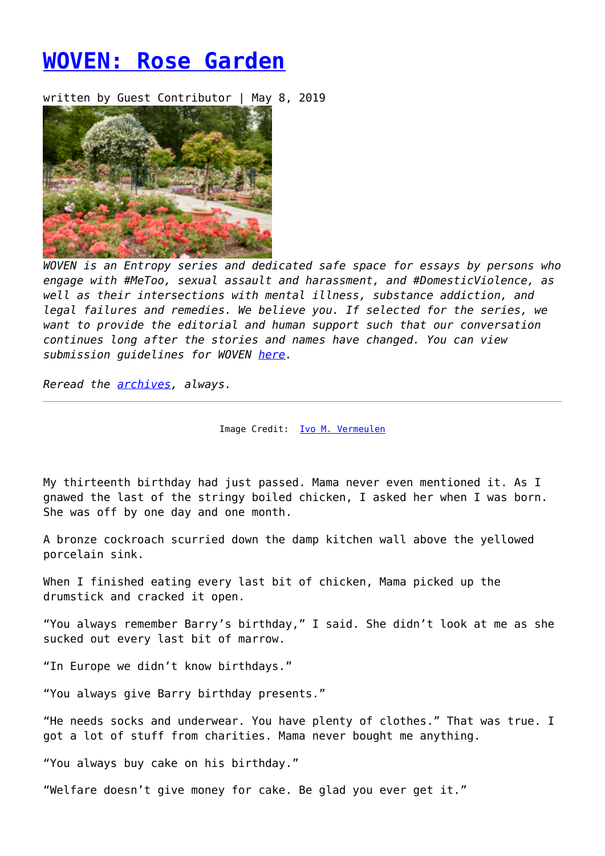## **[WOVEN: Rose Garden](https://entropymag.org/woven-rose-garden/)**

written by Guest Contributor | May 8, 2019



*WOVEN is an Entropy series and dedicated safe space for essays by persons who engage with #MeToo, sexual assault and harassment, and #DomesticViolence, as well as their intersections with mental illness, substance addiction, and legal failures and remedies. We believe you. If selected for the series, we want to provide the editorial and human support such that our conversation continues long after the stories and names have changed. You can view submission guidelines for WOVEN [here.](https://entropymag.org/woven-call-for-submissions/)*

*Reread the [archives](https://entropymag.org/tag/woven/), always.* 

Image Credit: [Ivo M. Vermeulen](https://www.nybg.org/blogs/plant-talk/2014/06/photography/morning-eye-candy-good-effort/)

My thirteenth birthday had just passed. Mama never even mentioned it. As I gnawed the last of the stringy boiled chicken, I asked her when I was born. She was off by one day and one month.

A bronze cockroach scurried down the damp kitchen wall above the yellowed porcelain sink.

When I finished eating every last bit of chicken, Mama picked up the drumstick and cracked it open.

"You always remember Barry's birthday," I said. She didn't look at me as she sucked out every last bit of marrow.

"In Europe we didn't know birthdays."

"You always give Barry birthday presents."

"He needs socks and underwear. You have plenty of clothes." That was true. I got a lot of stuff from charities. Mama never bought me anything.

"You always buy cake on his birthday."

"Welfare doesn't give money for cake. Be glad you ever get it."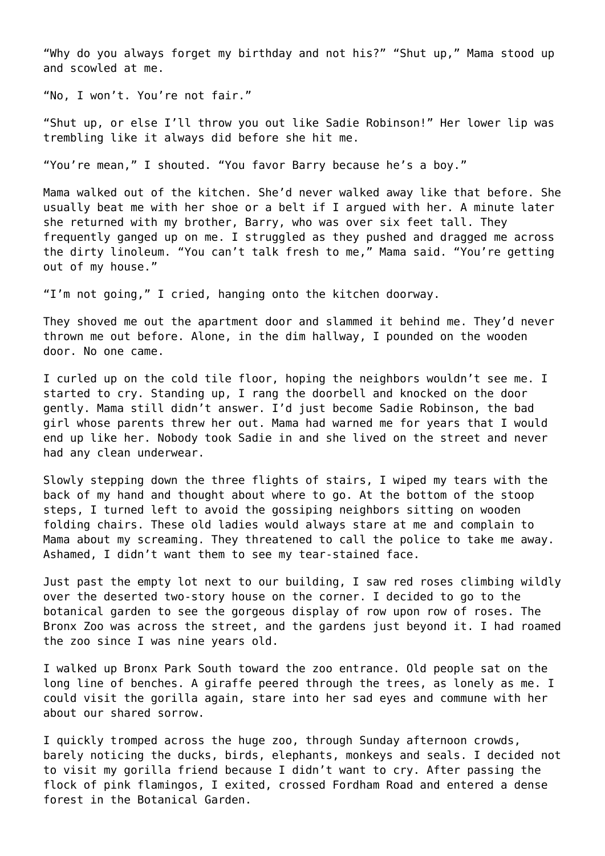"Why do you always forget my birthday and not his?" "Shut up," Mama stood up and scowled at me.

"No, I won't. You're not fair."

"Shut up, or else I'll throw you out like Sadie Robinson!" Her lower lip was trembling like it always did before she hit me.

"You're mean," I shouted. "You favor Barry because he's a boy."

Mama walked out of the kitchen. She'd never walked away like that before. She usually beat me with her shoe or a belt if I argued with her. A minute later she returned with my brother, Barry, who was over six feet tall. They frequently ganged up on me. I struggled as they pushed and dragged me across the dirty linoleum. "You can't talk fresh to me," Mama said. "You're getting out of my house."

"I'm not going," I cried, hanging onto the kitchen doorway.

They shoved me out the apartment door and slammed it behind me. They'd never thrown me out before. Alone, in the dim hallway, I pounded on the wooden door. No one came.

I curled up on the cold tile floor, hoping the neighbors wouldn't see me. I started to cry. Standing up, I rang the doorbell and knocked on the door gently. Mama still didn't answer. I'd just become Sadie Robinson, the bad girl whose parents threw her out. Mama had warned me for years that I would end up like her. Nobody took Sadie in and she lived on the street and never had any clean underwear.

Slowly stepping down the three flights of stairs, I wiped my tears with the back of my hand and thought about where to go. At the bottom of the stoop steps, I turned left to avoid the gossiping neighbors sitting on wooden folding chairs. These old ladies would always stare at me and complain to Mama about my screaming. They threatened to call the police to take me away. Ashamed, I didn't want them to see my tear-stained face.

Just past the empty lot next to our building, I saw red roses climbing wildly over the deserted two-story house on the corner. I decided to go to the botanical garden to see the gorgeous display of row upon row of roses. The Bronx Zoo was across the street, and the gardens just beyond it. I had roamed the zoo since I was nine years old.

I walked up Bronx Park South toward the zoo entrance. Old people sat on the long line of benches. A giraffe peered through the trees, as lonely as me. I could visit the gorilla again, stare into her sad eyes and commune with her about our shared sorrow.

I quickly tromped across the huge zoo, through Sunday afternoon crowds, barely noticing the ducks, birds, elephants, monkeys and seals. I decided not to visit my gorilla friend because I didn't want to cry. After passing the flock of pink flamingos, I exited, crossed Fordham Road and entered a dense forest in the Botanical Garden.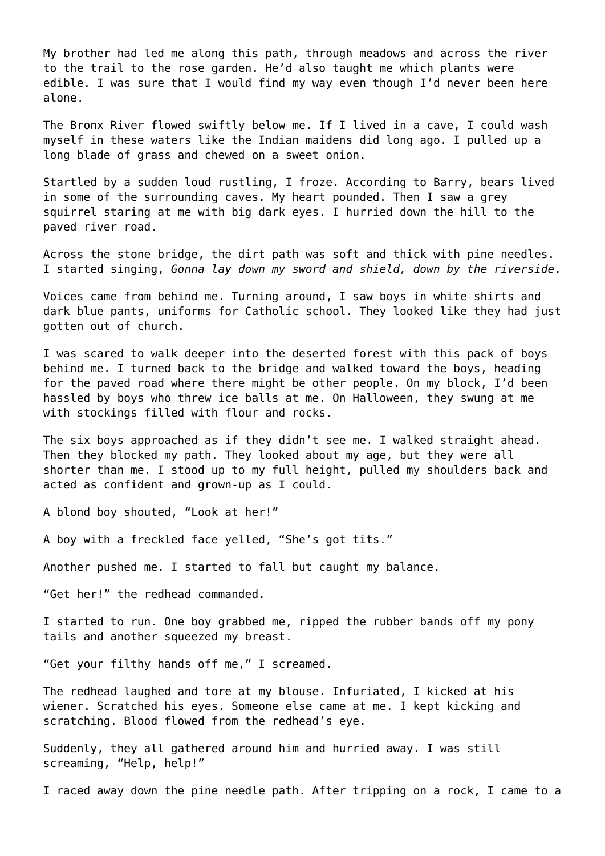My brother had led me along this path, through meadows and across the river to the trail to the rose garden. He'd also taught me which plants were edible. I was sure that I would find my way even though I'd never been here alone.

The Bronx River flowed swiftly below me. If I lived in a cave, I could wash myself in these waters like the Indian maidens did long ago. I pulled up a long blade of grass and chewed on a sweet onion.

Startled by a sudden loud rustling, I froze. According to Barry, bears lived in some of the surrounding caves. My heart pounded. Then I saw a grey squirrel staring at me with big dark eyes. I hurried down the hill to the paved river road.

Across the stone bridge, the dirt path was soft and thick with pine needles. I started singing, *Gonna lay down my sword and shield, down by the riverside*.

Voices came from behind me. Turning around, I saw boys in white shirts and dark blue pants, uniforms for Catholic school. They looked like they had just gotten out of church.

I was scared to walk deeper into the deserted forest with this pack of boys behind me. I turned back to the bridge and walked toward the boys, heading for the paved road where there might be other people. On my block, I'd been hassled by boys who threw ice balls at me. On Halloween, they swung at me with stockings filled with flour and rocks.

The six boys approached as if they didn't see me. I walked straight ahead. Then they blocked my path. They looked about my age, but they were all shorter than me. I stood up to my full height, pulled my shoulders back and acted as confident and grown-up as I could.

A blond boy shouted, "Look at her!"

A boy with a freckled face yelled, "She's got tits."

Another pushed me. I started to fall but caught my balance.

"Get her!" the redhead commanded.

I started to run. One boy grabbed me, ripped the rubber bands off my pony tails and another squeezed my breast.

"Get your filthy hands off me," I screamed.

The redhead laughed and tore at my blouse. Infuriated, I kicked at his wiener. Scratched his eyes. Someone else came at me. I kept kicking and scratching. Blood flowed from the redhead's eye.

Suddenly, they all gathered around him and hurried away. I was still screaming, "Help, help!"

I raced away down the pine needle path. After tripping on a rock, I came to a